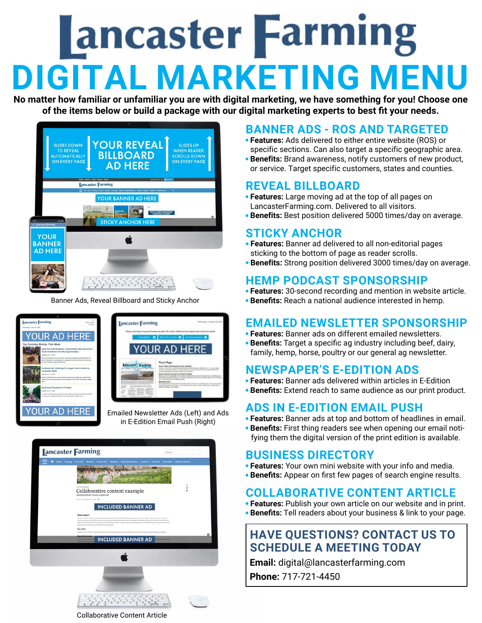# **Lancaster Farming DIGITAL MARKETING MENU**

**No matter how familiar or unfamiliar you are with digital marketing, we have something for you! Choose one of the items below or build a package with our digital marketing experts to best fit your needs.**

| <b>SLIDES DOWN</b><br><b>TO REVEAL</b><br><b>AUTOMATICALLY</b><br><b>ON EVERY PAGE</b>                | <b>YOUR REVEAL</b><br><b>BILLBOARD</b><br><b>AD HERE</b>                                                                                                                                          | <b>SLIDES UP</b><br><b>WHEN READER</b><br><b>SCROLLS DOWN</b><br><b>ON EVERY PAGE</b> |
|-------------------------------------------------------------------------------------------------------|---------------------------------------------------------------------------------------------------------------------------------------------------------------------------------------------------|---------------------------------------------------------------------------------------|
| <b>INVESTIGATION</b><br>Saburibe Contact in e-Edition Newsletter Advertis<br><b>Jancaster Farming</b> |                                                                                                                                                                                                   |                                                                                       |
| $125 +$<br>$-1$<br>$\equiv$ <b>Jancaster Farming</b>                                                  | 67 Non Family Famille Mately Commette Policely Baines/Dealers Authors Catalog Controls<br>YOUR BANNER AD HERE<br>Poli<br><b>Russian War</b><br>NEW & USED EQUIPMENT,<br><b>STICKY ANCHOR HERE</b> | $\alpha$                                                                              |
| <b>YOUR</b><br><b>BANNER</b><br><b>AD HERE</b>                                                        |                                                                                                                                                                                                   |                                                                                       |

Banner Ads, Reveal Billboard and Sticky Anchor

| <b>Jancaster Farming</b><br><b>Meety Cloudy</b><br>Forenest<br>Wednesday, June 17th, 2020                                                                                                                           | Westman Fax: Freinings 14, 24:00<br><b>Jancaster Farming</b>                                                                                                                                                                                                                                                                                  |
|---------------------------------------------------------------------------------------------------------------------------------------------------------------------------------------------------------------------|-----------------------------------------------------------------------------------------------------------------------------------------------------------------------------------------------------------------------------------------------------------------------------------------------------------------------------------------------|
| YOUR AD HERE                                                                                                                                                                                                        | That you be long a Lancage Fourier officeries. The weight a Edition further subject and it made below adjaced.<br>Cleared: O   KACTULARMA<br><b>Marked Manuels' @</b>                                                                                                                                                                         |
| <b>Top Farming Stories This Week</b>                                                                                                                                                                                |                                                                                                                                                                                                                                                                                                                                               |
| Amid Fair Cancellations, Communities Step Up to Give<br>Youth Exhibitors Fair-like Opportunities<br>Updated Jun 16, 2020                                                                                            | <b>YOUR AD HERE</b>                                                                                                                                                                                                                                                                                                                           |
| As fair cancellations moved due to the communicus, canala like (finite McAlleter of<br>Oles: Pennsylvania, are stepping in to salvage the hard work that youths have put<br>into their funstock presents. Read more | <b>Proof Page</b>                                                                                                                                                                                                                                                                                                                             |
| Pandemic No Challenge for Angus Farm's Direct-to-<br><b>Consumer Sales</b><br>Industrial Jun 16, 2020                                                                                                               | Bright Fight's CIR Cleaning Fresh, Deadline<br>Los Antigo in complete the control of the control of the control of the con-<br>a chair as non-fluore-actions. I financial shak paint built, doll out transitive actional box<br>lince dies beginning at the closels! Singne also kensiste<br>Siedy Tracks Line Up The Finger Fonado           |
| Peterson & Shaner Farms hasn't missed a best since the state and national beef<br>ndustry hit a downward spiral with the outbreak of the COVID-19 pandemic. Read                                                    | Renut incomes thrust-accelerate marketing the fundamental considers an apart frontier is subtrial autor<br>be crowns of excludes Granting' as Crowns, accessive string the time infrastrutental factors burnied<br>ist. 18. Detected on he is followed search<br>For an extent both Charters and Country of Auto an Easter Rd. To those plans |
| Ag Groups Respond to Protests                                                                                                                                                                                       | trobled raises at 50 per 3 per capacities. They were but autocolour conservation as<br>an including at the fire receiver                                                                                                                                                                                                                      |
| Updated Jun 12, 2020<br>A number of agricultural groups have made statements against racial discrimination<br>In response to widespread protests of policing practices. Read more                                   |                                                                                                                                                                                                                                                                                                                                               |
| <b>YOUR AD HERE</b>                                                                                                                                                                                                 | Emailed Newsletter Ads (Left) and Ads                                                                                                                                                                                                                                                                                                         |

in E-Edition Email Push (Right)



#### **BANNER ADS - ROS AND TARGETED**

- **• Features:** Ads delivered to either entire website (ROS) or specific sections. Can also target a specific geographic area.
- **• Benefits:** Brand awareness, notify customers of new product, or service. Target specific customers, states and counties.

#### **REVEAL BILLBOARD**

- **• Features:** Large moving ad at the top of all pages on LancasterFarming.com. Delivered to all visitors.
- **• Benefits:** Best position delivered 5000 times/day on average.

#### **STICKY ANCHOR**

- **• Features:** Banner ad delivered to all non-editorial pages sticking to the bottom of page as reader scrolls.
- **• Benefits:** Strong position delivered 3000 times/day on average.

#### **HEMP PODCAST SPONSORSHIP**

- **• Features:** 30-second recording and mention in website article.
- **• Benefits:** Reach a national audience interested in hemp.

### **EMAILED NEWSLETTER SPONSORSHIP • Features:** Banner ads on different emailed newsletters.

- 
- **• Benefits:** Target a specific ag industry including beef, dairy,
- family, hemp, horse, poultry or our general ag newsletter.

#### **NEWSPAPER'S E-EDITION ADS**

- **• Features:** Banner ads delivered within articles in E-Edition
- **• Benefits:** Extend reach to same audience as our print product.

#### **ADS IN E-EDITION EMAIL PUSH**

- **• Features:** Banner ads at top and bottom of headlines in email.
- **• Benefits:** First thing readers see when opening our email noti fying them the digital version of the print edition is available.

#### **BUSINESS DIRECTORY**

- **• Features:** Your own mini website with your info and media.
- **• Benefits:** Appear on first few pages of search engine results.

#### **COLLABORATIVE CONTENT ARTICLE**

- **• Features:** Publish your own article on our website and in print.
- **• Benefits:** Tell readers about your business & link to your page.

#### **HAVE QUESTIONS? CONTACT US TO SCHEDULE A MEETING TODAY**

**Email:** digital@lancasterfarming.com

**Phone:** 717-721-4450

Collaborative Content Article